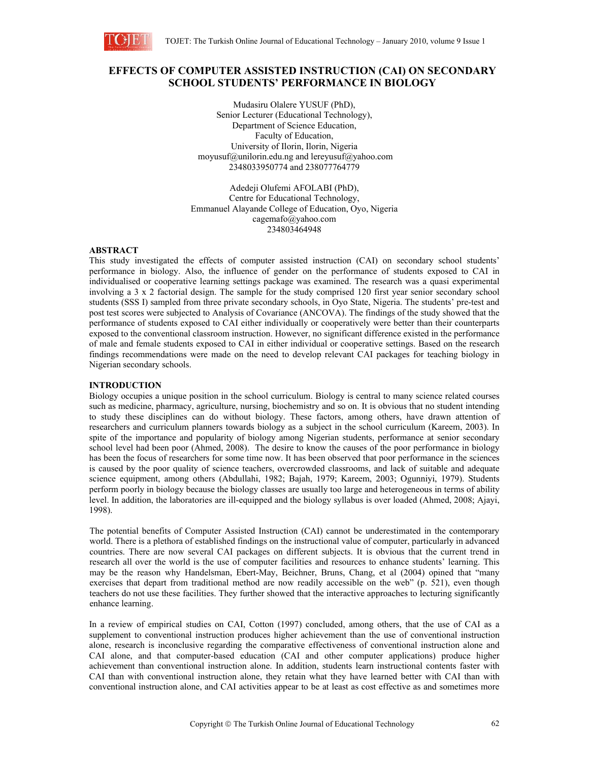

# **EFFECTS OF COMPUTER ASSISTED INSTRUCTION (CAI) ON SECONDARY SCHOOL STUDENTS' PERFORMANCE IN BIOLOGY**

Mudasiru Olalere YUSUF (PhD), Senior Lecturer (Educational Technology), Department of Science Education, Faculty of Education, University of Ilorin, Ilorin, Nigeria moyusuf@unilorin.edu.ng and lereyusuf@yahoo.com 2348033950774 and 238077764779

Adedeji Olufemi AFOLABI (PhD), Centre for Educational Technology, Emmanuel Alayande College of Education, Oyo, Nigeria cagemafo@yahoo.com 234803464948

# **ABSTRACT**

This study investigated the effects of computer assisted instruction (CAI) on secondary school students' performance in biology. Also, the influence of gender on the performance of students exposed to CAI in individualised or cooperative learning settings package was examined. The research was a quasi experimental involving a 3 x 2 factorial design. The sample for the study comprised 120 first year senior secondary school students (SSS I) sampled from three private secondary schools, in Oyo State, Nigeria. The students' pre-test and post test scores were subjected to Analysis of Covariance (ANCOVA). The findings of the study showed that the performance of students exposed to CAI either individually or cooperatively were better than their counterparts exposed to the conventional classroom instruction. However, no significant difference existed in the performance of male and female students exposed to CAI in either individual or cooperative settings. Based on the research findings recommendations were made on the need to develop relevant CAI packages for teaching biology in Nigerian secondary schools.

# **INTRODUCTION**

Biology occupies a unique position in the school curriculum. Biology is central to many science related courses such as medicine, pharmacy, agriculture, nursing, biochemistry and so on. It is obvious that no student intending to study these disciplines can do without biology. These factors, among others, have drawn attention of researchers and curriculum planners towards biology as a subject in the school curriculum (Kareem, 2003). In spite of the importance and popularity of biology among Nigerian students, performance at senior secondary school level had been poor (Ahmed, 2008). The desire to know the causes of the poor performance in biology has been the focus of researchers for some time now. It has been observed that poor performance in the sciences is caused by the poor quality of science teachers, overcrowded classrooms, and lack of suitable and adequate science equipment, among others (Abdullahi, 1982; Bajah, 1979; Kareem, 2003; Ogunniyi, 1979). Students perform poorly in biology because the biology classes are usually too large and heterogeneous in terms of ability level. In addition, the laboratories are ill-equipped and the biology syllabus is over loaded (Ahmed, 2008; Ajayi, 1998).

The potential benefits of Computer Assisted Instruction (CAI) cannot be underestimated in the contemporary world. There is a plethora of established findings on the instructional value of computer, particularly in advanced countries. There are now several CAI packages on different subjects. It is obvious that the current trend in research all over the world is the use of computer facilities and resources to enhance students' learning. This may be the reason why Handelsman, Ebert-May, Beichner, Bruns, Chang, et al (2004) opined that "many exercises that depart from traditional method are now readily accessible on the web" (p. 521), even though teachers do not use these facilities. They further showed that the interactive approaches to lecturing significantly enhance learning.

In a review of empirical studies on CAI, Cotton (1997) concluded, among others, that the use of CAI as a supplement to conventional instruction produces higher achievement than the use of conventional instruction alone, research is inconclusive regarding the comparative effectiveness of conventional instruction alone and CAI alone, and that computer-based education (CAI and other computer applications) produce higher achievement than conventional instruction alone. In addition, students learn instructional contents faster with CAI than with conventional instruction alone, they retain what they have learned better with CAI than with conventional instruction alone, and CAI activities appear to be at least as cost effective as and sometimes more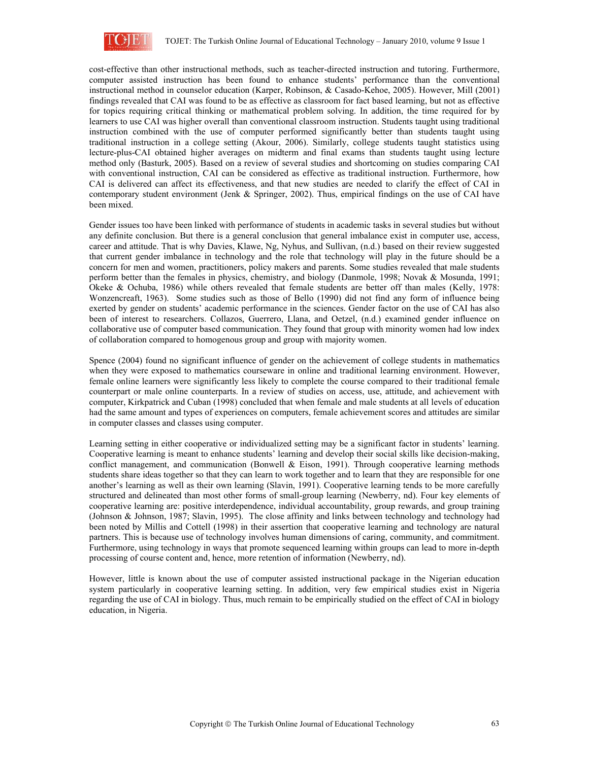

cost-effective than other instructional methods, such as teacher-directed instruction and tutoring. Furthermore, computer assisted instruction has been found to enhance students' performance than the conventional instructional method in counselor education (Karper, Robinson, & Casado-Kehoe, 2005). However, Mill (2001) findings revealed that CAI was found to be as effective as classroom for fact based learning, but not as effective for topics requiring critical thinking or mathematical problem solving. In addition, the time required for by learners to use CAI was higher overall than conventional classroom instruction. Students taught using traditional instruction combined with the use of computer performed significantly better than students taught using traditional instruction in a college setting (Akour, 2006). Similarly, college students taught statistics using lecture-plus-CAI obtained higher averages on midterm and final exams than students taught using lecture method only (Basturk, 2005). Based on a review of several studies and shortcoming on studies comparing CAI with conventional instruction, CAI can be considered as effective as traditional instruction. Furthermore, how CAI is delivered can affect its effectiveness, and that new studies are needed to clarify the effect of CAI in contemporary student environment (Jenk & Springer, 2002). Thus, empirical findings on the use of CAI have been mixed.

Gender issues too have been linked with performance of students in academic tasks in several studies but without any definite conclusion. But there is a general conclusion that general imbalance exist in computer use, access, career and attitude. That is why Davies, Klawe, Ng, Nyhus, and Sullivan, (n.d.) based on their review suggested that current gender imbalance in technology and the role that technology will play in the future should be a concern for men and women, practitioners, policy makers and parents. Some studies revealed that male students perform better than the females in physics, chemistry, and biology (Danmole, 1998; Novak & Mosunda, 1991; Okeke & Ochuba, 1986) while others revealed that female students are better off than males (Kelly, 1978: Wonzencreaft, 1963). Some studies such as those of Bello (1990) did not find any form of influence being exerted by gender on students' academic performance in the sciences. Gender factor on the use of CAI has also been of interest to researchers. Collazos, Guerrero, Llana, and Oetzel, (n.d.) examined gender influence on collaborative use of computer based communication. They found that group with minority women had low index of collaboration compared to homogenous group and group with majority women.

Spence (2004) found no significant influence of gender on the achievement of college students in mathematics when they were exposed to mathematics courseware in online and traditional learning environment. However, female online learners were significantly less likely to complete the course compared to their traditional female counterpart or male online counterparts. In a review of studies on access, use, attitude, and achievement with computer, Kirkpatrick and Cuban (1998) concluded that when female and male students at all levels of education had the same amount and types of experiences on computers, female achievement scores and attitudes are similar in computer classes and classes using computer.

Learning setting in either cooperative or individualized setting may be a significant factor in students' learning. Cooperative learning is meant to enhance students' learning and develop their social skills like decision-making, conflict management, and communication (Bonwell & Eison, 1991). Through cooperative learning methods students share ideas together so that they can learn to work together and to learn that they are responsible for one another's learning as well as their own learning (Slavin, 1991). Cooperative learning tends to be more carefully structured and delineated than most other forms of small-group learning (Newberry, nd). Four key elements of cooperative learning are: positive interdependence, individual accountability, group rewards, and group training (Johnson & Johnson, 1987; Slavin, 1995). The close affinity and links between technology and technology had been noted by Millis and Cottell (1998) in their assertion that cooperative learning and technology are natural partners. This is because use of technology involves human dimensions of caring, community, and commitment. Furthermore, using technology in ways that promote sequenced learning within groups can lead to more in-depth processing of course content and, hence, more retention of information (Newberry, nd).

However, little is known about the use of computer assisted instructional package in the Nigerian education system particularly in cooperative learning setting. In addition, very few empirical studies exist in Nigeria regarding the use of CAI in biology. Thus, much remain to be empirically studied on the effect of CAI in biology education, in Nigeria.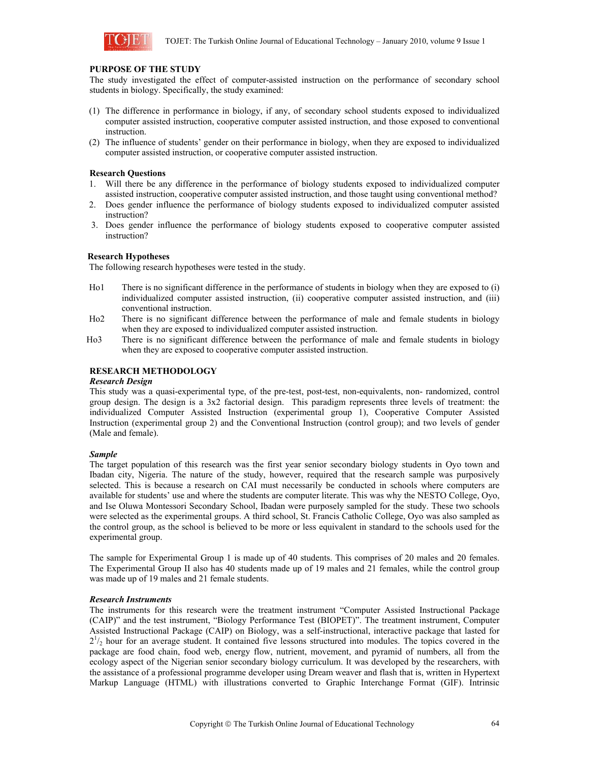

# **PURPOSE OF THE STUDY**

The study investigated the effect of computer-assisted instruction on the performance of secondary school students in biology. Specifically, the study examined:

- (1) The difference in performance in biology, if any, of secondary school students exposed to individualized computer assisted instruction, cooperative computer assisted instruction, and those exposed to conventional instruction.
- (2) The influence of students' gender on their performance in biology, when they are exposed to individualized computer assisted instruction, or cooperative computer assisted instruction.

# **Research Questions**

- 1. Will there be any difference in the performance of biology students exposed to individualized computer assisted instruction, cooperative computer assisted instruction, and those taught using conventional method?
- 2. Does gender influence the performance of biology students exposed to individualized computer assisted instruction?
- 3. Does gender influence the performance of biology students exposed to cooperative computer assisted instruction?

### **Research Hypotheses**

The following research hypotheses were tested in the study.

- Ho1 There is no significant difference in the performance of students in biology when they are exposed to (i) individualized computer assisted instruction, (ii) cooperative computer assisted instruction, and (iii) conventional instruction.
- Ho2 There is no significant difference between the performance of male and female students in biology when they are exposed to individualized computer assisted instruction.
- Ho3 There is no significant difference between the performance of male and female students in biology when they are exposed to cooperative computer assisted instruction.

# **RESEARCH METHODOLOGY**

### *Research Design*

This study was a quasi-experimental type, of the pre-test, post-test, non-equivalents, non- randomized, control group design. The design is a 3x2 factorial design. This paradigm represents three levels of treatment: the individualized Computer Assisted Instruction (experimental group 1), Cooperative Computer Assisted Instruction (experimental group 2) and the Conventional Instruction (control group); and two levels of gender (Male and female).

#### *Sample*

The target population of this research was the first year senior secondary biology students in Oyo town and Ibadan city, Nigeria. The nature of the study, however, required that the research sample was purposively selected. This is because a research on CAI must necessarily be conducted in schools where computers are available for students' use and where the students are computer literate. This was why the NESTO College, Oyo, and Ise Oluwa Montessori Secondary School, Ibadan were purposely sampled for the study. These two schools were selected as the experimental groups. A third school, St. Francis Catholic College, Oyo was also sampled as the control group, as the school is believed to be more or less equivalent in standard to the schools used for the experimental group.

The sample for Experimental Group 1 is made up of 40 students. This comprises of 20 males and 20 females. The Experimental Group II also has 40 students made up of 19 males and 21 females, while the control group was made up of 19 males and 21 female students.

### *Research Instruments*

The instruments for this research were the treatment instrument "Computer Assisted Instructional Package (CAIP)" and the test instrument, "Biology Performance Test (BIOPET)". The treatment instrument, Computer Assisted Instructional Package (CAIP) on Biology, was a self-instructional, interactive package that lasted for  $2^{1}/_{2}$  hour for an average student. It contained five lessons structured into modules. The topics covered in the package are food chain, food web, energy flow, nutrient, movement, and pyramid of numbers, all from the ecology aspect of the Nigerian senior secondary biology curriculum. It was developed by the researchers, with the assistance of a professional programme developer using Dream weaver and flash that is, written in Hypertext Markup Language (HTML) with illustrations converted to Graphic Interchange Format (GIF). Intrinsic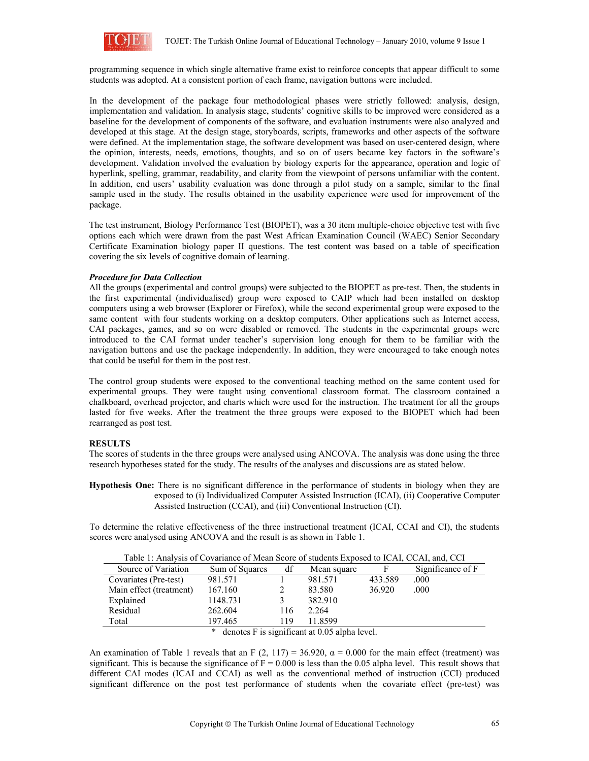

programming sequence in which single alternative frame exist to reinforce concepts that appear difficult to some students was adopted. At a consistent portion of each frame, navigation buttons were included.

In the development of the package four methodological phases were strictly followed: analysis, design, implementation and validation. In analysis stage, students' cognitive skills to be improved were considered as a baseline for the development of components of the software, and evaluation instruments were also analyzed and developed at this stage. At the design stage, storyboards, scripts, frameworks and other aspects of the software were defined. At the implementation stage, the software development was based on user-centered design, where the opinion, interests, needs, emotions, thoughts, and so on of users became key factors in the software's development. Validation involved the evaluation by biology experts for the appearance, operation and logic of hyperlink, spelling, grammar, readability, and clarity from the viewpoint of persons unfamiliar with the content. In addition, end users' usability evaluation was done through a pilot study on a sample, similar to the final sample used in the study. The results obtained in the usability experience were used for improvement of the package.

The test instrument, Biology Performance Test (BIOPET), was a 30 item multiple-choice objective test with five options each which were drawn from the past West African Examination Council (WAEC) Senior Secondary Certificate Examination biology paper II questions. The test content was based on a table of specification covering the six levels of cognitive domain of learning.

### *Procedure for Data Collection*

All the groups (experimental and control groups) were subjected to the BIOPET as pre-test. Then, the students in the first experimental (individualised) group were exposed to CAIP which had been installed on desktop computers using a web browser (Explorer or Firefox), while the second experimental group were exposed to the same content with four students working on a desktop computers. Other applications such as Internet access, CAI packages, games, and so on were disabled or removed. The students in the experimental groups were introduced to the CAI format under teacher's supervision long enough for them to be familiar with the navigation buttons and use the package independently. In addition, they were encouraged to take enough notes that could be useful for them in the post test.

The control group students were exposed to the conventional teaching method on the same content used for experimental groups. They were taught using conventional classroom format. The classroom contained a chalkboard, overhead projector, and charts which were used for the instruction. The treatment for all the groups lasted for five weeks. After the treatment the three groups were exposed to the BIOPET which had been rearranged as post test.

#### **RESULTS**

The scores of students in the three groups were analysed using ANCOVA. The analysis was done using the three research hypotheses stated for the study. The results of the analyses and discussions are as stated below.

**Hypothesis One:** There is no significant difference in the performance of students in biology when they are exposed to (i) Individualized Computer Assisted Instruction (ICAI), (ii) Cooperative Computer Assisted Instruction (CCAI), and (iii) Conventional Instruction (CI).

To determine the relative effectiveness of the three instructional treatment (ICAI, CCAI and CI), the students scores were analysed using ANCOVA and the result is as shown in Table 1.

| Table 1: Analysis of Covariance of Mean Score of students Exposed to ICAT, CCAT, and, CCT |                |     |             |         |                   |
|-------------------------------------------------------------------------------------------|----------------|-----|-------------|---------|-------------------|
| Source of Variation                                                                       | Sum of Squares | df  | Mean square | F       | Significance of F |
| Covariates (Pre-test)                                                                     | 981.571        |     | 981.571     | 433.589 | .000              |
| Main effect (treatment)                                                                   | 167.160        |     | 83.580      | 36.920  | .000              |
| Explained                                                                                 | 1148.731       |     | 382.910     |         |                   |
| Residual                                                                                  | 262.604        | 116 | 2.264       |         |                   |
| Total                                                                                     | 197.465        | 119 | 11.8599     |         |                   |
| $*$ denotes $\Gamma$ is significant at 0.05 alpha level                                   |                |     |             |         |                   |

| Table 1: Analysis of Covariance of Mean Score of students Exposed to ICAI, CCAI, and, CCI |  |
|-------------------------------------------------------------------------------------------|--|
|-------------------------------------------------------------------------------------------|--|

 $denotes F is significant at 0.05 alpha level.$ 

An examination of Table 1 reveals that an F (2, 117) = 36.920,  $\alpha$  = 0.000 for the main effect (treatment) was significant. This is because the significance of  $F = 0.000$  is less than the 0.05 alpha level. This result shows that different CAI modes (ICAI and CCAI) as well as the conventional method of instruction (CCI) produced significant difference on the post test performance of students when the covariate effect (pre-test) was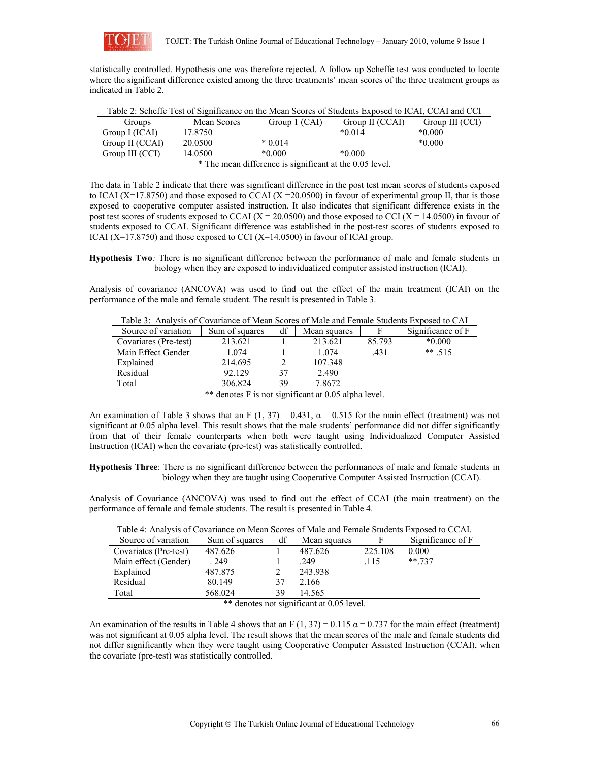

statistically controlled. Hypothesis one was therefore rejected. A follow up Scheffe test was conducted to locate where the significant difference existed among the three treatments' mean scores of the three treatment groups as indicated in Table 2.

| Table 2: Scheffe Test of Significance on the Mean Scores of Students Exposed to ICAI, CCAI and CCI |             |               |                 |                 |  |  |
|----------------------------------------------------------------------------------------------------|-------------|---------------|-----------------|-----------------|--|--|
| <b>Groups</b>                                                                                      | Mean Scores | Group 1 (CAI) | Group II (CCAI) | Group III (CCI) |  |  |
| Group I (ICAI)                                                                                     | 17.8750     |               | $*0.014$        | $*0.000$        |  |  |
| Group II (CCAI)                                                                                    | 20.0500     | $*0.014$      |                 | $*0.000$        |  |  |
| Group III (CCI)                                                                                    | 14.0500     | $*0.000$      | $*0.000$        |                 |  |  |
| $*$ The mean difference is significant at the 0.05 level                                           |             |               |                 |                 |  |  |

\* The mean difference is significant at the 0.05 level.

The data in Table 2 indicate that there was significant difference in the post test mean scores of students exposed to ICAI (X=17.8750) and those exposed to CCAI (X = 20.0500) in favour of experimental group II, that is those exposed to cooperative computer assisted instruction. It also indicates that significant difference exists in the post test scores of students exposed to CCAI ( $X = 20.0500$ ) and those exposed to CCI ( $X = 14.0500$ ) in favour of students exposed to CCAI. Significant difference was established in the post-test scores of students exposed to ICAI (X=17.8750) and those exposed to CCI (X=14.0500) in favour of ICAI group.

**Hypothesis Two***:* There is no significant difference between the performance of male and female students in biology when they are exposed to individualized computer assisted instruction (ICAI).

Analysis of covariance (ANCOVA) was used to find out the effect of the main treatment (ICAI) on the performance of the male and female student. The result is presented in Table 3.

Table 3: Analysis of Covariance of Mean Scores of Male and Female Students Exposed to CAI

| Source of variation                                  | Sum of squares | df | Mean squares |        | Significance of F |
|------------------------------------------------------|----------------|----|--------------|--------|-------------------|
| Covariates (Pre-test)                                | 213.621        |    | 213.621      | 85.793 | $*0.000$          |
| Main Effect Gender                                   | 1.074          |    | 1.074        | .431   | $** .515$         |
| Explained                                            | 214.695        |    | 107.348      |        |                   |
| Residual                                             | 92.129         | 37 | 2.490        |        |                   |
| Total                                                | 306.824        | 39 | 7.8672       |        |                   |
| ** denotes F is not significant at 0.05 alpha level. |                |    |              |        |                   |

An examination of Table 3 shows that an F (1, 37) = 0.431,  $\alpha$  = 0.515 for the main effect (treatment) was not significant at 0.05 alpha level. This result shows that the male students' performance did not differ significantly from that of their female counterparts when both were taught using Individualized Computer Assisted Instruction (ICAI) when the covariate (pre-test) was statistically controlled.

**Hypothesis Three**: There is no significant difference between the performances of male and female students in biology when they are taught using Cooperative Computer Assisted Instruction (CCAI).

Analysis of Covariance (ANCOVA) was used to find out the effect of CCAI (the main treatment) on the performance of female and female students. The result is presented in Table 4.

| Table 4: Analysis of Covariance on Mean Scores of Male and Female Students Exposed to CCAI. |                |    |              |         |                   |
|---------------------------------------------------------------------------------------------|----------------|----|--------------|---------|-------------------|
| Source of variation                                                                         | Sum of squares | df | Mean squares | F       | Significance of F |
| Covariates (Pre-test)                                                                       | 487.626        |    | 487.626      | 225.108 | 0.000             |
| Main effect (Gender)                                                                        | 249            |    | .249         | .115    | $** 737$          |
| Explained                                                                                   | 487.875        |    | 243.938      |         |                   |
| Residual                                                                                    | 80.149         | 37 | 2.166        |         |                   |
| Total                                                                                       | 568.024        | 39 | 14.565       |         |                   |

Table 4: Analysis of Covariance on Mean Scores of Male and Female Students Exposed to CCAI.

\*\* denotes not significant at 0.05 level.

An examination of the results in Table 4 shows that an F (1, 37) = 0.115  $\alpha$  = 0.737 for the main effect (treatment) was not significant at 0.05 alpha level. The result shows that the mean scores of the male and female students did not differ significantly when they were taught using Cooperative Computer Assisted Instruction (CCAI), when the covariate (pre-test) was statistically controlled.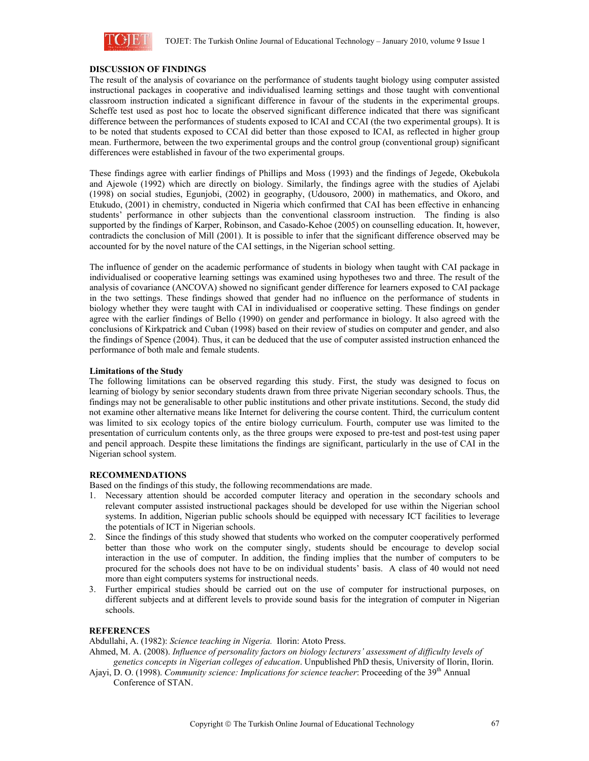

# **DISCUSSION OF FINDINGS**

The result of the analysis of covariance on the performance of students taught biology using computer assisted instructional packages in cooperative and individualised learning settings and those taught with conventional classroom instruction indicated a significant difference in favour of the students in the experimental groups. Scheffe test used as post hoc to locate the observed significant difference indicated that there was significant difference between the performances of students exposed to ICAI and CCAI (the two experimental groups). It is to be noted that students exposed to CCAI did better than those exposed to ICAI, as reflected in higher group mean. Furthermore, between the two experimental groups and the control group (conventional group) significant differences were established in favour of the two experimental groups.

These findings agree with earlier findings of Phillips and Moss (1993) and the findings of Jegede, Okebukola and Ajewole (1992) which are directly on biology. Similarly, the findings agree with the studies of Ajelabi (1998) on social studies, Egunjobi, (2002) in geography, (Udousoro, 2000) in mathematics, and Okoro, and Etukudo, (2001) in chemistry, conducted in Nigeria which confirmed that CAI has been effective in enhancing students' performance in other subjects than the conventional classroom instruction. The finding is also supported by the findings of Karper, Robinson, and Casado-Kehoe (2005) on counselling education. It, however, contradicts the conclusion of Mill (2001). It is possible to infer that the significant difference observed may be accounted for by the novel nature of the CAI settings, in the Nigerian school setting.

The influence of gender on the academic performance of students in biology when taught with CAI package in individualised or cooperative learning settings was examined using hypotheses two and three. The result of the analysis of covariance (ANCOVA) showed no significant gender difference for learners exposed to CAI package in the two settings. These findings showed that gender had no influence on the performance of students in biology whether they were taught with CAI in individualised or cooperative setting. These findings on gender agree with the earlier findings of Bello (1990) on gender and performance in biology. It also agreed with the conclusions of Kirkpatrick and Cuban (1998) based on their review of studies on computer and gender, and also the findings of Spence (2004). Thus, it can be deduced that the use of computer assisted instruction enhanced the performance of both male and female students.

### **Limitations of the Study**

The following limitations can be observed regarding this study. First, the study was designed to focus on learning of biology by senior secondary students drawn from three private Nigerian secondary schools. Thus, the findings may not be generalisable to other public institutions and other private institutions. Second, the study did not examine other alternative means like Internet for delivering the course content. Third, the curriculum content was limited to six ecology topics of the entire biology curriculum. Fourth, computer use was limited to the presentation of curriculum contents only, as the three groups were exposed to pre-test and post-test using paper and pencil approach. Despite these limitations the findings are significant, particularly in the use of CAI in the Nigerian school system.

### **RECOMMENDATIONS**

Based on the findings of this study, the following recommendations are made.

- 1. Necessary attention should be accorded computer literacy and operation in the secondary schools and relevant computer assisted instructional packages should be developed for use within the Nigerian school systems. In addition, Nigerian public schools should be equipped with necessary ICT facilities to leverage the potentials of ICT in Nigerian schools.
- 2. Since the findings of this study showed that students who worked on the computer cooperatively performed better than those who work on the computer singly, students should be encourage to develop social interaction in the use of computer. In addition, the finding implies that the number of computers to be procured for the schools does not have to be on individual students' basis. A class of 40 would not need more than eight computers systems for instructional needs.
- 3. Further empirical studies should be carried out on the use of computer for instructional purposes, on different subjects and at different levels to provide sound basis for the integration of computer in Nigerian schools.

# **REFERENCES**

Abdullahi, A. (1982): *Science teaching in Nigeria.* Ilorin: Atoto Press.

Ahmed, M. A. (2008). *Influence of personality factors on biology lecturers' assessment of difficulty levels of genetics concepts in Nigerian colleges of education*. Unpublished PhD thesis, University of Ilorin, Ilorin.

Ajayi, D. O. (1998). *Community science: Implications for science teacher*: Proceeding of the 39th Annual Conference of STAN.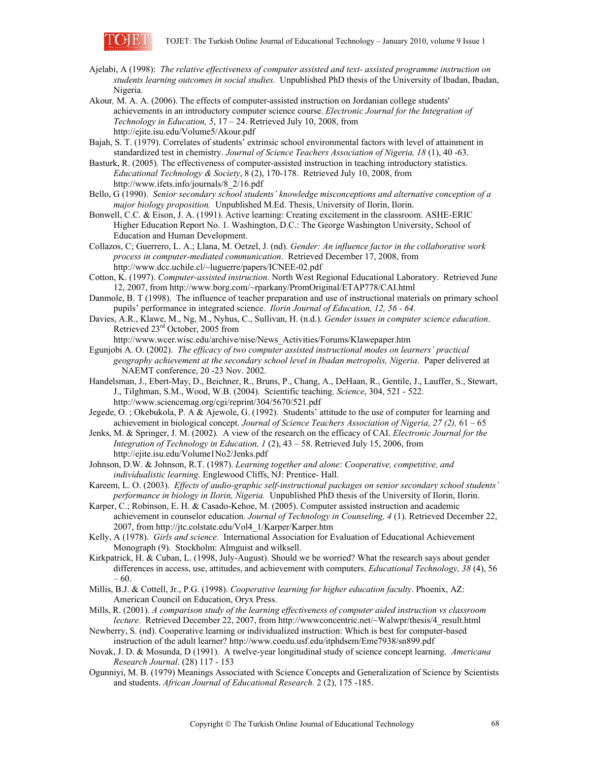

- Ajelabi, A (1998): *The relative effectiveness of computer assisted and text- assisted programme instruction on students learning outcomes in social studies.* Unpublished PhD thesis of the University of Ibadan, Ibadan, Nigeria.
- Akour*,* M. A. A. (2006). The effects of computer-assisted instruction on Jordanian college students' achievements in an introductory computer science course. *Electronic Journal for the Integration of Technology in Education, 5*, 17 – 24. Retrieved July 10, 2008, from http://ejite.isu.edu/Volume5/Akour.pdf
- Bajah, S. T. (1979). Correlates of students' extrinsic school environmental factors with level of attainment in standardized test in chemistry. *Journal of Science Teachers Association of Nigeria, 18* (1), 40 -63.
- Basturk, R. (2005). The effectiveness of computer-assisted instruction in teaching introductory statistics. *Educational Technology & Society*, 8 (2), 170-178. Retrieved July 10, 2008, from http://www.ifets.info/journals/8\_2/16.pdf
- Bello, G (1990). *Senior secondary school students' knowledge misconceptions and alternative conception of a major biology proposition.* Unpublished M.Ed. Thesis, University of Ilorin, Ilorin.
- Bonwell, C.C. & Eison, J. A. (1991). Active learning: Creating excitement in the classroom. ASHE-ERIC Higher Education Report No. 1. Washington, D.C.: The George Washington University, School of Education and Human Development.
- Collazos, C; Guerrero, L. A.; Llana, M. Oetzel, J. (nd). *Gender: An influence factor in the collaborative work process in computer-mediated communication*. Retrieved December 17, 2008, from http://www.dcc.uchile.cl/~luguerre/papers/ICNEE-02.pdf
- Cotton, K. (1997). *Computer-assisted instruction*. North West Regional Educational Laboratory. Retrieved June 12, 2007, from http://www.borg.com/~rparkany/PromOriginal/ETAP778/CAI.html
- Danmole, B. T (1998). The influence of teacher preparation and use of instructional materials on primary school pupils' performance in integrated science. *Ilorin Journal of Education, 12, 56 - 64.*
- Davies, A.R., Klawe, M., Ng, M., Nyhus, C., Sullivan, H. (n.d.). *Gender issues in computer science education*. Retrieved 23<sup>rd</sup> October, 2005 from

http://www.wcer.wisc.edu/archive/nise/News\_Activities/Forums/Klawepaper.htm

- Egunjobi A. O. (2002). *The efficacy of two computer assisted instructional modes on learners' practical geography achievement at the secondary school level in Ibadan metropolis, Nigeria*. Paper delivered at NAEMT conference, 20 -23 Nov. 2002.
- Handelsman, J., Ebert-May, D., Beichner, R., Bruns, P., Chang, A., DeHaan, R., Gentile, J., Lauffer, S., Stewart, J., Tilghman, S.M., Wood, W.B. (2004). Scientific teaching. *Science*, 304, 521 - 522. http://www.sciencemag.org/cgi/reprint/304/5670/521.pdf
- Jegede, O. ; Okebukola, P. A & Ajewole, G. (1992). Students' attitude to the use of computer for learning and achievement in biological concept. *Journal of Science Teachers Association of Nigeria, 27 (2),* 61 – 65
- Jenks, M. & Springer, J. M. (2002)*.* A view of the research on the efficacy of CAI. *Electronic Journal for the Integration of Technology in Education, 1* (2), 43 – 58. Retrieved July 15, 2006, from http://ejite.isu.edu/Volume1No2/Jenks.pdf
- Johnson, D.W. & Johnson, R.T. (1987). *Learning together and alone: Cooperative, competitive, and individualistic learning*. Englewood Cliffs, NJ: Prentice- Hall.
- Kareem, L. O. (2003). *Effects of audio-graphic self-instructional packages on senior secondary school students' performance in biology in Ilorin, Nigeria.* Unpublished PhD thesis of the University of Ilorin, Ilorin.
- Karper, C.; Robinson, E. H. & Casado-Kehoe, M. (2005). Computer assisted instruction and academic achievement in counselor education. *Journal of Technology in Counseling, 4* (1). Retrieved December 22, 2007, from http://jtc.colstate.edu/Vol4\_1/Karper/Karper.htm
- Kelly, A (1978). *Girls and science.* International Association for Evaluation of Educational Achievement Monograph (9). Stockholm: Almguist and wilksell.
- Kirkpatrick, H. & Cuban, L. (1998, July-August). Should we be worried? What the research says about gender differences in access, use, attitudes, and achievement with computers. *Educational Technology, 38* (4), 56  $-60.$
- Millis, B.J. & Cottell, Jr., P.G. (1998). *Cooperative learning for higher education faculty*. Phoenix, AZ: American Council on Education, Oryx Press.
- Mills, R. (2001). *A comparison study of the learning effectiveness of computer aided instruction vs classroom lecture*. Retrieved December 22, 2007, from http://www.concentric.net/~Walwpr/thesis/4\_result.html
- Newberry, S. (nd). Cooperative learning or individualized instruction: Which is best for computer-based instruction of the adult learner? http://www.coedu.usf.edu/itphdsem/Eme7938/sn899.pdf
- Novak, J. D. & Mosunda, D (1991). A twelve-year longitudinal study of science concept learning. *Americana Research Journal*. (28) 117 - 153
- Ogunniyi, M. B. (1979) Meanings Associated with Science Concepts and Generalization of Science by Scientists and students. *African Journal of Educational Research.* 2 (2), 175 -185.